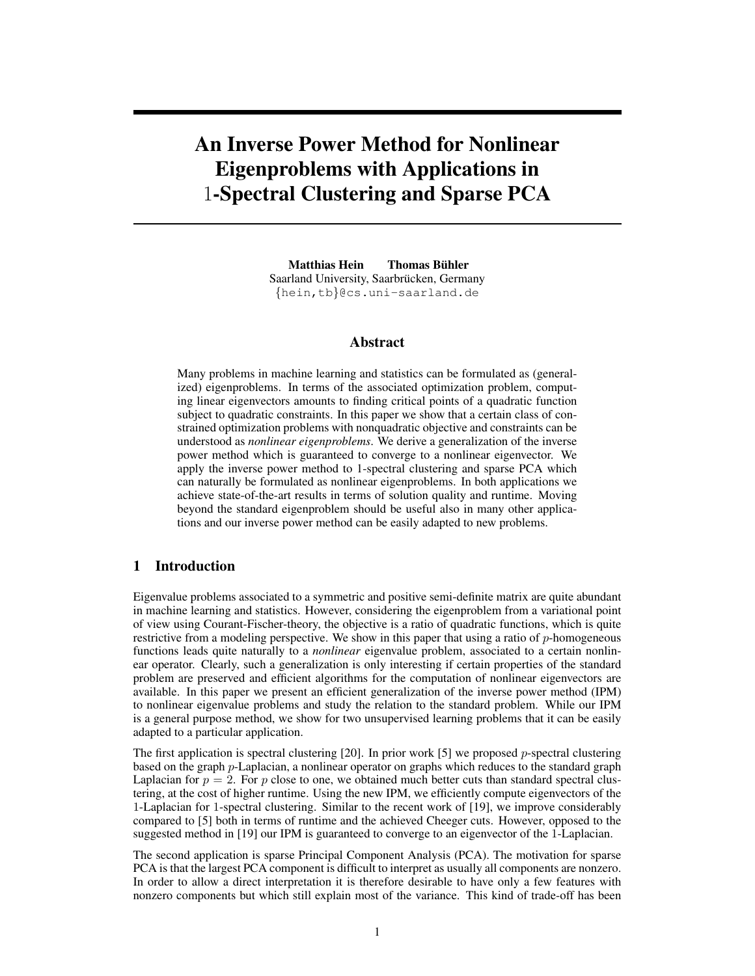# An Inverse Power Method for Nonlinear Eigenproblems with Applications in 1-Spectral Clustering and Sparse PCA

Matthias Hein Thomas Bühler Saarland University, Saarbrücken, Germany {hein,tb}@cs.uni-saarland.de

## Abstract

Many problems in machine learning and statistics can be formulated as (generalized) eigenproblems. In terms of the associated optimization problem, computing linear eigenvectors amounts to finding critical points of a quadratic function subject to quadratic constraints. In this paper we show that a certain class of constrained optimization problems with nonquadratic objective and constraints can be understood as *nonlinear eigenproblems*. We derive a generalization of the inverse power method which is guaranteed to converge to a nonlinear eigenvector. We apply the inverse power method to 1-spectral clustering and sparse PCA which can naturally be formulated as nonlinear eigenproblems. In both applications we achieve state-of-the-art results in terms of solution quality and runtime. Moving beyond the standard eigenproblem should be useful also in many other applications and our inverse power method can be easily adapted to new problems.

## 1 Introduction

Eigenvalue problems associated to a symmetric and positive semi-definite matrix are quite abundant in machine learning and statistics. However, considering the eigenproblem from a variational point of view using Courant-Fischer-theory, the objective is a ratio of quadratic functions, which is quite restrictive from a modeling perspective. We show in this paper that using a ratio of p-homogeneous functions leads quite naturally to a *nonlinear* eigenvalue problem, associated to a certain nonlinear operator. Clearly, such a generalization is only interesting if certain properties of the standard problem are preserved and efficient algorithms for the computation of nonlinear eigenvectors are available. In this paper we present an efficient generalization of the inverse power method (IPM) to nonlinear eigenvalue problems and study the relation to the standard problem. While our IPM is a general purpose method, we show for two unsupervised learning problems that it can be easily adapted to a particular application.

The first application is spectral clustering [20]. In prior work [5] we proposed p-spectral clustering based on the graph p-Laplacian, a nonlinear operator on graphs which reduces to the standard graph Laplacian for  $p = 2$ . For p close to one, we obtained much better cuts than standard spectral clustering, at the cost of higher runtime. Using the new IPM, we efficiently compute eigenvectors of the 1-Laplacian for 1-spectral clustering. Similar to the recent work of [19], we improve considerably compared to [5] both in terms of runtime and the achieved Cheeger cuts. However, opposed to the suggested method in [19] our IPM is guaranteed to converge to an eigenvector of the 1-Laplacian.

The second application is sparse Principal Component Analysis (PCA). The motivation for sparse PCA is that the largest PCA component is difficult to interpret as usually all components are nonzero. In order to allow a direct interpretation it is therefore desirable to have only a few features with nonzero components but which still explain most of the variance. This kind of trade-off has been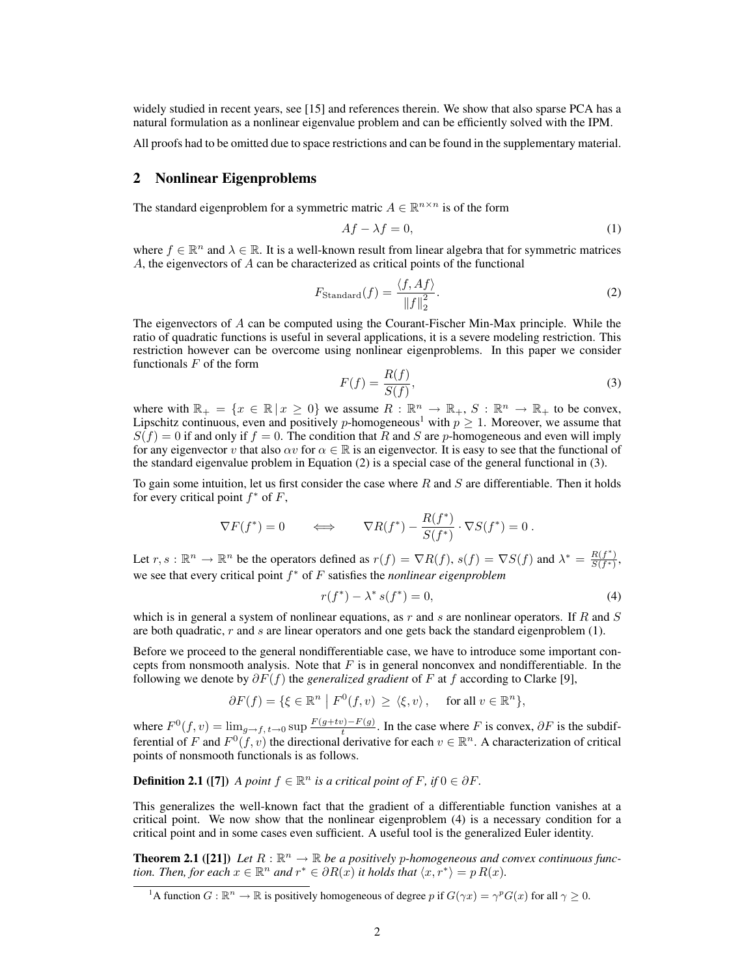widely studied in recent years, see [15] and references therein. We show that also sparse PCA has a natural formulation as a nonlinear eigenvalue problem and can be efficiently solved with the IPM.

All proofs had to be omitted due to space restrictions and can be found in the supplementary material.

#### 2 Nonlinear Eigenproblems

The standard eigenproblem for a symmetric matric  $A \in \mathbb{R}^{n \times n}$  is of the form

$$
Af - \lambda f = 0,\tag{1}
$$

where  $f \in \mathbb{R}^n$  and  $\lambda \in \mathbb{R}$ . It is a well-known result from linear algebra that for symmetric matrices A, the eigenvectors of A can be characterized as critical points of the functional

$$
F_{\text{Standard}}(f) = \frac{\langle f, Af \rangle}{\|f\|_2^2}.
$$
 (2)

The eigenvectors of A can be computed using the Courant-Fischer Min-Max principle. While the ratio of quadratic functions is useful in several applications, it is a severe modeling restriction. This restriction however can be overcome using nonlinear eigenproblems. In this paper we consider functionals  $F$  of the form

$$
F(f) = \frac{R(f)}{S(f)},
$$
\n(3)

where with  $\mathbb{R}_+ = \{x \in \mathbb{R} \mid x \geq 0\}$  we assume  $R: \mathbb{R}^n \to \mathbb{R}_+$ ,  $S: \mathbb{R}^n \to \mathbb{R}_+$  to be convex, Lipschitz continuous, even and positively *p*-homogeneous<sup>1</sup> with  $p \ge 1$ . Moreover, we assume that  $S(f) = 0$  if and only if  $f = 0$ . The condition that R and S are p-homogeneous and even will imply for any eigenvector v that also  $\alpha v$  for  $\alpha \in \mathbb{R}$  is an eigenvector. It is easy to see that the functional of the standard eigenvalue problem in Equation (2) is a special case of the general functional in (3).

To gain some intuition, let us first consider the case where  $R$  and  $S$  are differentiable. Then it holds for every critical point  $f^*$  of  $F$ ,

$$
\nabla F(f^*) = 0 \qquad \Longleftrightarrow \qquad \nabla R(f^*) - \frac{R(f^*)}{S(f^*)} \cdot \nabla S(f^*) = 0 \; .
$$

Let  $r, s : \mathbb{R}^n \to \mathbb{R}^n$  be the operators defined as  $r(f) = \nabla R(f), s(f) = \nabla S(f)$  and  $\lambda^* = \frac{R(f^*)}{S(f^*)}$  $\frac{R(f)}{S(f^*)}$ we see that every critical point f <sup>∗</sup> of F satisfies the *nonlinear eigenproblem*

$$
r(f^*) - \lambda^* s(f^*) = 0,
$$
\n(4)

which is in general a system of nonlinear equations, as  $r$  and  $s$  are nonlinear operators. If  $R$  and  $S$ are both quadratic,  $r$  and  $s$  are linear operators and one gets back the standard eigenproblem  $(1)$ .

Before we proceed to the general nondifferentiable case, we have to introduce some important concepts from nonsmooth analysis. Note that  $F$  is in general nonconvex and nondifferentiable. In the following we denote by  $\partial F(f)$  the *generalized gradient* of F at f according to Clarke [9],

$$
\partial F(f) = \{ \xi \in \mathbb{R}^n \mid F^0(f, v) \ge \langle \xi, v \rangle, \quad \text{ for all } v \in \mathbb{R}^n \},
$$

where  $F^{0}(f, v) = \lim_{g \to f, t \to 0} \sup \frac{F(g+tv) - F(g)}{t}$  $t_t^{(f)}(t)$ . In the case where F is convex,  $\partial F$  is the subdifferential of F and  $F^0(f, v)$  the directional derivative for each  $v \in \mathbb{R}^n$ . A characterization of critical points of nonsmooth functionals is as follows.

**Definition 2.1** ([7]) *A point*  $f \in \mathbb{R}^n$  *is a critical point of*  $F$ *, if*  $0 \in \partial F$ *.* 

This generalizes the well-known fact that the gradient of a differentiable function vanishes at a critical point. We now show that the nonlinear eigenproblem (4) is a necessary condition for a critical point and in some cases even sufficient. A useful tool is the generalized Euler identity.

**Theorem 2.1** ([21]) Let  $R : \mathbb{R}^n \to \mathbb{R}$  be a positively p-homogeneous and convex continuous func*tion. Then, for each*  $x \in \mathbb{R}^n$  *and*  $r^* \in \partial R(x)$  *it holds that*  $\langle x, r^* \rangle = p R(x)$ *.* 

<sup>&</sup>lt;sup>1</sup>A function  $G : \mathbb{R}^n \to \mathbb{R}$  is positively homogeneous of degree p if  $G(\gamma x) = \gamma^p G(x)$  for all  $\gamma \ge 0$ .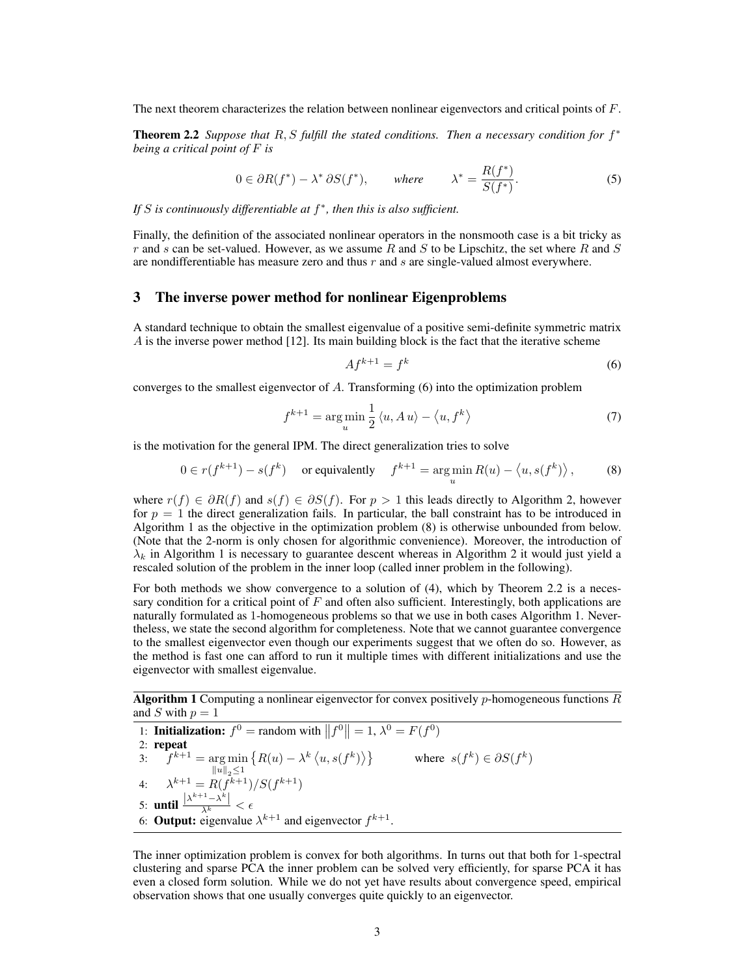The next theorem characterizes the relation between nonlinear eigenvectors and critical points of F.

Theorem 2.2 Suppose that R, S fulfill the stated conditions. Then a necessary condition for  $f^*$ *being a critical point of* F *is*

$$
0 \in \partial R(f^*) - \lambda^* \partial S(f^*), \qquad \text{where} \qquad \lambda^* = \frac{R(f^*)}{S(f^*)}. \tag{5}
$$

*If* S *is continuously differentiable at* f ∗ *, then this is also sufficient.*

Finally, the definition of the associated nonlinear operators in the nonsmooth case is a bit tricky as r and s can be set-valued. However, as we assume R and S to be Lipschitz, the set where R and S are nondifferentiable has measure zero and thus  $r$  and  $s$  are single-valued almost everywhere.

## 3 The inverse power method for nonlinear Eigenproblems

A standard technique to obtain the smallest eigenvalue of a positive semi-definite symmetric matrix A is the inverse power method [12]. Its main building block is the fact that the iterative scheme

$$
Af^{k+1} = f^k \tag{6}
$$

converges to the smallest eigenvector of  $A$ . Transforming  $(6)$  into the optimization problem

$$
f^{k+1} = \underset{u}{\arg\min} \frac{1}{2} \langle u, A u \rangle - \langle u, f^k \rangle \tag{7}
$$

is the motivation for the general IPM. The direct generalization tries to solve

$$
0 \in r(f^{k+1}) - s(f^k) \quad \text{or equivalently} \quad f^{k+1} = \arg\min_u R(u) - \langle u, s(f^k) \rangle, \tag{8}
$$

where  $r(f) \in \partial R(f)$  and  $s(f) \in \partial S(f)$ . For  $p > 1$  this leads directly to Algorithm 2, however for  $p = 1$  the direct generalization fails. In particular, the ball constraint has to be introduced in Algorithm 1 as the objective in the optimization problem (8) is otherwise unbounded from below. (Note that the 2-norm is only chosen for algorithmic convenience). Moreover, the introduction of  $\lambda_k$  in Algorithm 1 is necessary to guarantee descent whereas in Algorithm 2 it would just yield a rescaled solution of the problem in the inner loop (called inner problem in the following).

For both methods we show convergence to a solution of (4), which by Theorem 2.2 is a necessary condition for a critical point of  $F$  and often also sufficient. Interestingly, both applications are naturally formulated as 1-homogeneous problems so that we use in both cases Algorithm 1. Nevertheless, we state the second algorithm for completeness. Note that we cannot guarantee convergence to the smallest eigenvector even though our experiments suggest that we often do so. However, as the method is fast one can afford to run it multiple times with different initializations and use the eigenvector with smallest eigenvalue.

**Algorithm 1** Computing a nonlinear eigenvector for convex positively *p*-homogeneous functions R and S with  $p = 1$ 

1: **Initialization:**  $f^0$  = random with  $||f^0|| = 1$ ,  $\lambda^0 = F(f^0)$ 2: repeat 3:  $\hat{f}^{k+1} = \arg \min \{ R(u) - \lambda^k \langle u, s(f^k) \rangle \}$  where  $s(f^k) \in \partial S(f^k)$  $\|u\|_2 \leq 1$ 4:  $\lambda^{k+1} = R(f^{k+1})/S(f^{k+1})$ 5: **until**  $\frac{|\lambda^{k+1}-\lambda^k|}{\lambda^k}<\epsilon$ 6: **Output:** eigenvalue  $\lambda^{k+1}$  and eigenvector  $f^{k+1}$ .

The inner optimization problem is convex for both algorithms. In turns out that both for 1-spectral clustering and sparse PCA the inner problem can be solved very efficiently, for sparse PCA it has even a closed form solution. While we do not yet have results about convergence speed, empirical observation shows that one usually converges quite quickly to an eigenvector.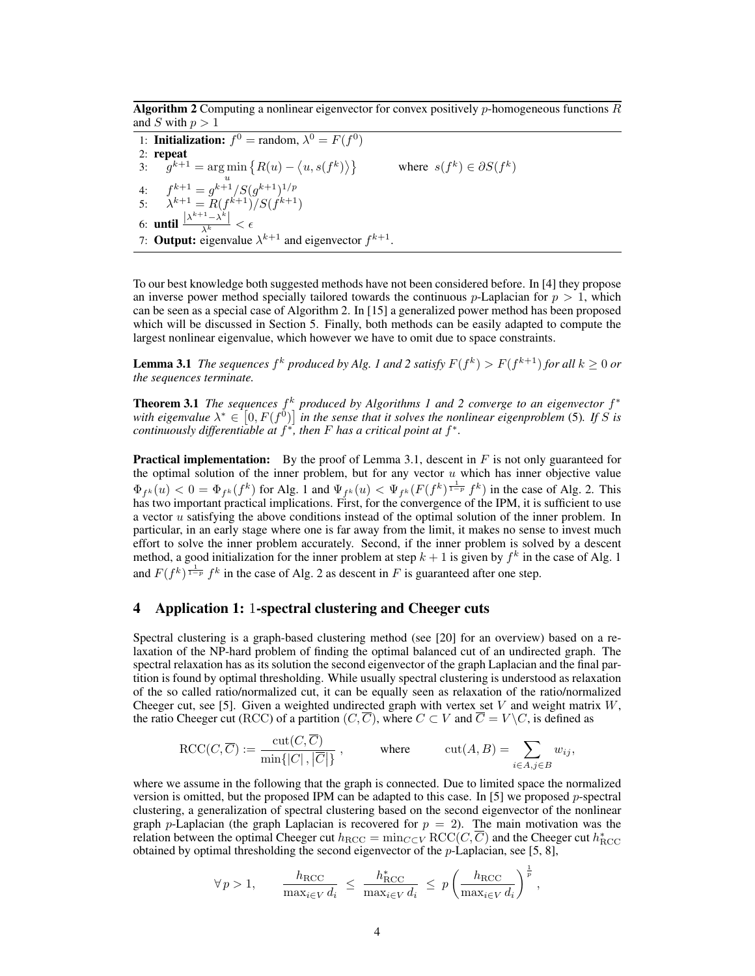**Algorithm 2** Computing a nonlinear eigenvector for convex positively  $p$ -homogeneous functions  $R$ and S with  $p > 1$ 

1: **Initialization:**  $f^0$  = random,  $\lambda^0 = F(f^0)$ 2: repeat 3:  $g^{k+1} = \arg \min \{ R(u) - \langle u, s(f^k) \rangle \}$  where  $s(f^k) \in \partial S(f^k)$ u 4:  $f^{k+1} = g^{k+1} / S(g^{k+1})^{1/p}$ 5:  $\lambda^{k+1} = R(f^{k+1})/S(f^{k+1})$ 6: **until**  $\frac{|\lambda^{k+1}-\lambda^k|}{\lambda^k}<\epsilon$ 7: **Output:** eigenvalue  $\lambda^{k+1}$  and eigenvector  $f^{k+1}$ .

To our best knowledge both suggested methods have not been considered before. In [4] they propose an inverse power method specially tailored towards the continuous p-Laplacian for  $p > 1$ , which can be seen as a special case of Algorithm 2. In [15] a generalized power method has been proposed which will be discussed in Section 5. Finally, both methods can be easily adapted to compute the largest nonlinear eigenvalue, which however we have to omit due to space constraints.

**Lemma 3.1** The sequences  $f^k$  produced by Alg. 1 and 2 satisfy  $F(f^k) > F(f^{k+1})$  for all  $k \geq 0$  or *the sequences terminate.*

Theorem 3.1 *The sequences*  $f<sup>k</sup>$  produced by Algorithms 1 and 2 converge to an eigenvector  $f<sup>*</sup>$ with eigenvalue  $\lambda^* \in [0, F(f^{\tilde{0}})]$  in the sense that it solves the nonlinear eigenproblem (5). If S is *continuously differentiable at*  $f^*$ , then  $F$  has a critical point at  $f^*$ .

**Practical implementation:** By the proof of Lemma 3.1, descent in  $F$  is not only guaranteed for the optimal solution of the inner problem, but for any vector  $u$  which has inner objective value  $\Phi_{f^k}(u) < 0 = \Phi_{f^k}(f^k)$  for Alg. 1 and  $\Psi_{f^k}(u) < \Psi_{f^k}(F(f^k)^{\frac{1}{1-p}} f^k)$  in the case of Alg. 2. This has two important practical implications. First, for the convergence of the IPM, it is sufficient to use a vector u satisfying the above conditions instead of the optimal solution of the inner problem. In particular, in an early stage where one is far away from the limit, it makes no sense to invest much effort to solve the inner problem accurately. Second, if the inner problem is solved by a descent method, a good initialization for the inner problem at step  $k + 1$  is given by  $f^k$  in the case of Alg. 1 and  $F(f^k)^{\frac{1}{1-p}} f^k$  in the case of Alg. 2 as descent in F is guaranteed after one step.

# 4 Application 1: 1-spectral clustering and Cheeger cuts

Spectral clustering is a graph-based clustering method (see [20] for an overview) based on a relaxation of the NP-hard problem of finding the optimal balanced cut of an undirected graph. The spectral relaxation has as its solution the second eigenvector of the graph Laplacian and the final partition is found by optimal thresholding. While usually spectral clustering is understood as relaxation of the so called ratio/normalized cut, it can be equally seen as relaxation of the ratio/normalized Cheeger cut, see [5]. Given a weighted undirected graph with vertex set  $V$  and weight matrix  $W$ , the ratio Cheeger cut (RCC) of a partition  $(C, \overline{C})$ , where  $C \subset V$  and  $\overline{C} = V \backslash C$ , is defined as

$$
\operatorname{RCC}(C, \overline{C}) := \frac{\operatorname{cut}(C, C)}{\min\{|C|, |\overline{C}|\}}, \quad \text{where} \quad \operatorname{cut}(A, B) = \sum_{i \in A, j \in B} w_{ij},
$$

where we assume in the following that the graph is connected. Due to limited space the normalized version is omitted, but the proposed IPM can be adapted to this case. In [5] we proposed  $p$ -spectral clustering, a generalization of spectral clustering based on the second eigenvector of the nonlinear graph p-Laplacian (the graph Laplacian is recovered for  $p = 2$ ). The main motivation was the relation between the optimal Cheeger cut  $h_{\text{RCC}} = \min_{C \subset V} \text{RCC}(C, \overline{C})$  and the Cheeger cut  $h_{\text{RCC}}^*$ obtained by optimal thresholding the second eigenvector of the  $p$ -Laplacian, see [5, 8],

$$
\forall p > 1,
$$
\n
$$
\frac{h_{\text{RCC}}}{\max_{i \in V} d_i} \leq \frac{h_{\text{RCC}}^*}{\max_{i \in V} d_i} \leq p \left( \frac{h_{\text{RCC}}}{\max_{i \in V} d_i} \right)^{\frac{1}{p}},
$$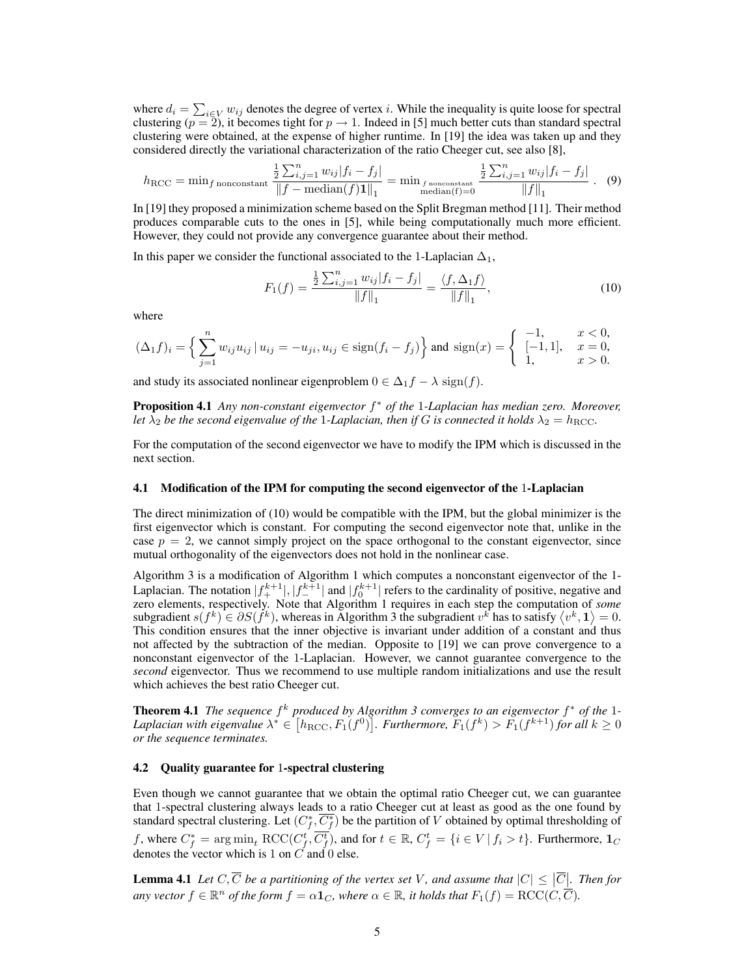where  $d_i = \sum_{i \in V} w_{ij}$  denotes the degree of vertex i. While the inequality is quite loose for spectral clustering ( $p = 2$ ), it becomes tight for  $p \to 1$ . Indeed in [5] much better cuts than standard spectral clustering were obtained, at the expense of higher runtime. In [19] the idea was taken up and they considered directly the variational characterization of the ratio Cheeger cut, see also [8],

$$
h_{\text{RCC}} = \min_{f \text{ nonconstant}} \frac{\frac{1}{2} \sum_{i,j=1}^{n} w_{ij} |f_i - f_j|}{\|f - \text{median}(f) \mathbf{1}\|_1} = \min_{f \text{ nonconstant}} \frac{\frac{1}{2} \sum_{i,j=1}^{n} w_{ij} |f_i - f_j|}{\|f\|_1} \quad (9)
$$

In [19] they proposed a minimization scheme based on the Split Bregman method [11]. Their method produces comparable cuts to the ones in [5], while being computationally much more efficient. However, they could not provide any convergence guarantee about their method.

In this paper we consider the functional associated to the 1-Laplacian  $\Delta_1$ ,

$$
F_1(f) = \frac{\frac{1}{2} \sum_{i,j=1}^n w_{ij} |f_i - f_j|}{\|f\|_1} = \frac{\langle f, \Delta_1 f \rangle}{\|f\|_1},\tag{10}
$$

where

$$
(\Delta_1 f)_i = \left\{ \sum_{j=1}^n w_{ij} u_{ij} \mid u_{ij} = -u_{ji}, u_{ij} \in \text{sign}(f_i - f_j) \right\} \text{ and } \text{sign}(x) = \left\{ \begin{array}{ll} -1, & x < 0, \\ [-1, 1], & x = 0, \\ 1, & x > 0. \end{array} \right.
$$

and study its associated nonlinear eigenproblem  $0 \in \Delta_1 f - \lambda \operatorname{sign}(f)$ .

Proposition 4.1 *Any non-constant eigenvector* f <sup>∗</sup> *of the* 1*-Laplacian has median zero. Moreover, let*  $\lambda_2$  *be the second eigenvalue of the* 1*-Laplacian, then if* G *is connected it holds*  $\lambda_2 = h_{\text{RCC}}$ *.* 

For the computation of the second eigenvector we have to modify the IPM which is discussed in the next section.

#### 4.1 Modification of the IPM for computing the second eigenvector of the 1-Laplacian

The direct minimization of (10) would be compatible with the IPM, but the global minimizer is the first eigenvector which is constant. For computing the second eigenvector note that, unlike in the case  $p = 2$ , we cannot simply project on the space orthogonal to the constant eigenvector, since mutual orthogonality of the eigenvectors does not hold in the nonlinear case.

Algorithm 3 is a modification of Algorithm 1 which computes a nonconstant eigenvector of the 1- Laplacian. The notation  $|f_+^{k+1}|, |f_-^{k+1}|$  and  $|f_0^{k+1}|$  refers to the cardinality of positive, negative and zero elements, respectively. Note that Algorithm 1 requires in each step the computation of *some* subgradient  $s(f^k) \in \partial S(f^k)$ , whereas in Algorithm 3 the subgradient  $v^k$  has to satisfy  $\langle v^k, \mathbf{1} \rangle = 0$ . This condition ensures that the inner objective is invariant under addition of a constant and thus not affected by the subtraction of the median. Opposite to [19] we can prove convergence to a nonconstant eigenvector of the 1-Laplacian. However, we cannot guarantee convergence to the *second* eigenvector. Thus we recommend to use multiple random initializations and use the result which achieves the best ratio Cheeger cut.

**Theorem 4.1** The sequence  $f^k$  produced by Algorithm 3 converges to an eigenvector  $f^*$  of the 1-Laplacian with eigenvalue  $\lambda^* \in [h_{\rm RCC}, F_1(f^0)]$ . Furthermore,  $F_1(f^k) > F_1(f^{k+1})$  for all  $k \geq 0$ *or the sequence terminates.*

## 4.2 Quality guarantee for 1-spectral clustering

Even though we cannot guarantee that we obtain the optimal ratio Cheeger cut, we can guarantee that 1-spectral clustering always leads to a ratio Cheeger cut at least as good as the one found by standard spectral clustering. Let  $(C_f^*, \overline{C_f^*})$  be the partition of V obtained by optimal thresholding of f, where  $C_f^* = \argmin_t \text{RCC}(C_f^t, \overline{C_f^t})$ , and for  $t \in \mathbb{R}$ ,  $C_f^t = \{i \in V \mid f_i > t\}$ . Furthermore,  $\mathbf{1}_C$ denotes the vector which is 1 on  $C$  and 0 else.

**Lemma 4.1** Let  $C, \overline{C}$  be a partitioning of the vertex set V, and assume that  $|C| \leq |\overline{C}|$ . Then for any vector  $f \in \mathbb{R}^n$  of the form  $f = \alpha \mathbf{1}_C$ , where  $\alpha \in \mathbb{R}$ , it holds that  $F_1(f) = \mathrm{RCC}(C, \overline{C})$ .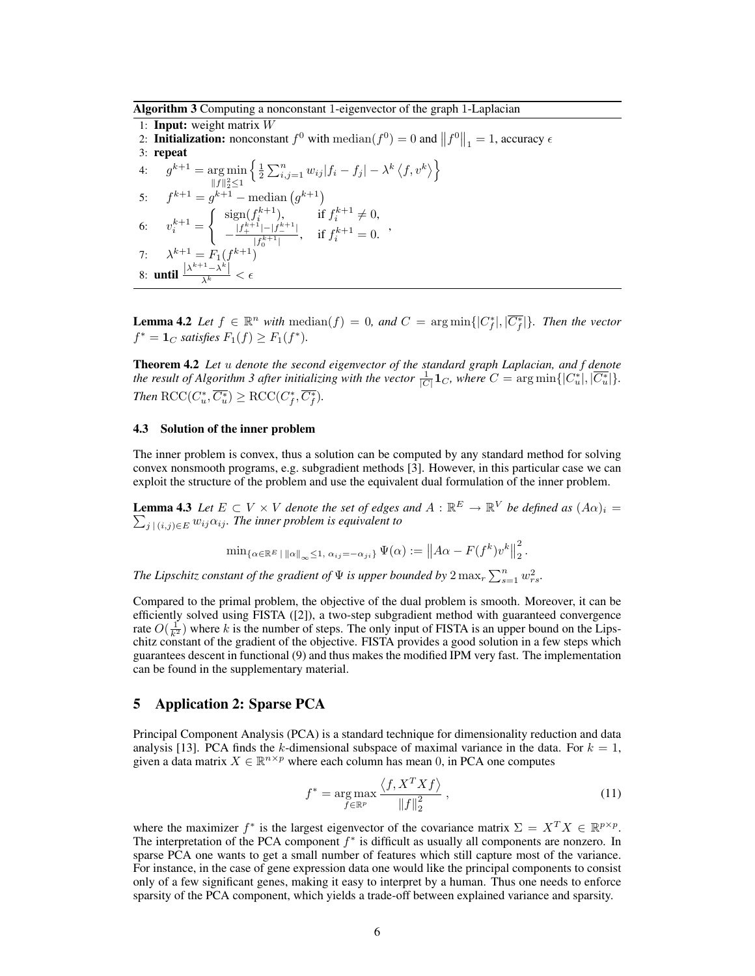Algorithm 3 Computing a nonconstant 1-eigenvector of the graph 1-Laplacian

1: Input: weight matrix W 2. Initialization: nonconstant  $f^0$  with  $\text{median}(f^0) = 0$  and  $||f^0||_1 = 1$ , accuracy  $\epsilon$ 3: repeat 4:  $g^{k+1} = \arg \min$  $||f||_2^2 \leq 1$  $\left\{\frac{1}{2}\sum_{i,j=1}^n w_{ij} |f_i - f_j| - \lambda^k \left\langle f, v^k \right\rangle \right\}$ 5:  $f^{k+1} = g^{k+1}$  – median  $(g^{k+1})$ 6:  $v_i^{k+1} =$  $\int$  sign $(f_i^{k+1})$ , if  $f_i^{k+1} \neq 0$ ,  $-\frac{|f_+^{k+1}|-|f_-^{k+1}|}{-F_+^{k+1}+...}$  $\int_{|f_0^{k+1}|}^{f_{k+1}|}$ , if  $f_i^{k+1} = 0$ . 7:  $\lambda^{k+1} = F_1(f^{k+1})$ 8: **until**  $\frac{|\lambda^{k+1}-\lambda^k|}{\lambda^k}<\epsilon$ 

**Lemma 4.2** Let  $f \in \mathbb{R}^n$  with  $\text{median}(f) = 0$ , and  $C = \arg \min\{|C_f^*|, |\overline{C_f^*}| \}$ . Then the vector  $f^* = \mathbf{1}_C$  *satisfies*  $F_1(f) \ge F_1(f^*).$ 

Theorem 4.2 *Let* u *denote the second eigenvector of the standard graph Laplacian, and f denote the result of Algorithm 3 after initializing with the vector*  $\frac{1}{|C|}$ **1***c*, where  $C = \arg \min\{|C_u^*|, |\overline{C_u^*}| \}.$ *Then*  $\mathrm{RCC}(C^*_u, \overline{C^*_u}) \ge \mathrm{RCC}(C^*_f, \overline{C^*_f}).$ 

#### 4.3 Solution of the inner problem

The inner problem is convex, thus a solution can be computed by any standard method for solving convex nonsmooth programs, e.g. subgradient methods [3]. However, in this particular case we can exploit the structure of the problem and use the equivalent dual formulation of the inner problem.

**Lemma 4.3** Let  $E \subset V \times V$  denote the set of edges and  $A : \mathbb{R}^E \to \mathbb{R}^V$  be defined as  $(A\alpha)_i =$  $\sum_{j \, | \, (i,j) \in E} w_{ij} \alpha_{ij}$ *. The inner problem is equivalent to* 

$$
\min_{\{\alpha \in \mathbb{R}^E \,|\, \|\alpha\|_{\infty} \leq 1, \, \alpha_{ij} = -\alpha_{ji}\}} \Psi(\alpha) := \left\|A\alpha - F(f^k)v^k\right\|_2^2.
$$

*The Lipschitz constant of the gradient of*  $\Psi$  *is upper bounded by*  $2 \max_{r} \sum_{s=1}^{n} w_{rs}^2$ .

Compared to the primal problem, the objective of the dual problem is smooth. Moreover, it can be efficiently solved using FISTA ([2]), a two-step subgradient method with guaranteed convergence rate  $O(\frac{1}{k^2})$  where k is the number of steps. The only input of FISTA is an upper bound on the Lipschitz constant of the gradient of the objective. FISTA provides a good solution in a few steps which guarantees descent in functional (9) and thus makes the modified IPM very fast. The implementation can be found in the supplementary material.

# 5 Application 2: Sparse PCA

Principal Component Analysis (PCA) is a standard technique for dimensionality reduction and data analysis [13]. PCA finds the k-dimensional subspace of maximal variance in the data. For  $k = 1$ , given a data matrix  $X \in \mathbb{R}^{n \times p}$  where each column has mean 0, in PCA one computes

$$
f^* = \underset{f \in \mathbb{R}^p}{\arg \max} \frac{\langle f, X^T X f \rangle}{\|f\|_2^2}, \qquad (11)
$$

where the maximizer  $f^*$  is the largest eigenvector of the covariance matrix  $\Sigma = X^T X \in \mathbb{R}^{p \times p}$ . The interpretation of the PCA component  $f^*$  is difficult as usually all components are nonzero. In sparse PCA one wants to get a small number of features which still capture most of the variance. For instance, in the case of gene expression data one would like the principal components to consist only of a few significant genes, making it easy to interpret by a human. Thus one needs to enforce sparsity of the PCA component, which yields a trade-off between explained variance and sparsity.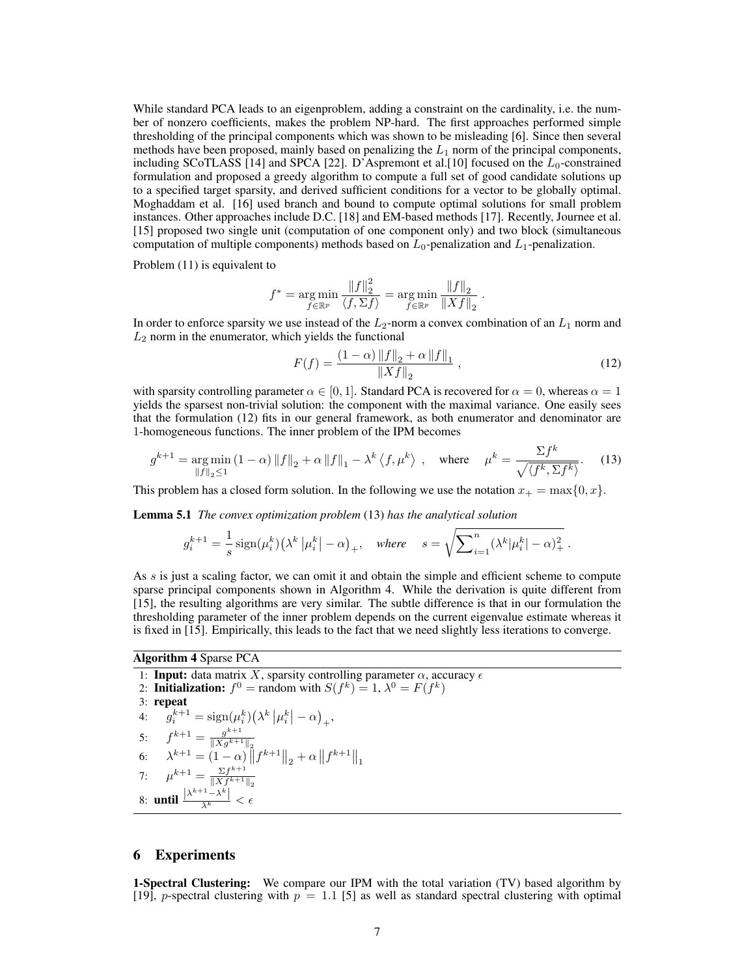While standard PCA leads to an eigenproblem, adding a constraint on the cardinality, i.e. the number of nonzero coefficients, makes the problem NP-hard. The first approaches performed simple thresholding of the principal components which was shown to be misleading [6]. Since then several methods have been proposed, mainly based on penalizing the  $L_1$  norm of the principal components, including SCoTLASS [14] and SPCA [22]. D'Aspremont et al. [10] focused on the  $L_0$ -constrained formulation and proposed a greedy algorithm to compute a full set of good candidate solutions up to a specified target sparsity, and derived sufficient conditions for a vector to be globally optimal. Moghaddam et al. [16] used branch and bound to compute optimal solutions for small problem instances. Other approaches include D.C. [18] and EM-based methods [17]. Recently, Journee et al. [15] proposed two single unit (computation of one component only) and two block (simultaneous computation of multiple components) methods based on  $L_0$ -penalization and  $L_1$ -penalization.

Problem (11) is equivalent to

$$
f^* = \underset{f \in \mathbb{R}^p}{\arg \min} \frac{\|f\|_2^2}{\langle f, \Sigma f \rangle} = \underset{f \in \mathbb{R}^p}{\arg \min} \frac{\|f\|_2}{\|Xf\|_2} \; .
$$

In order to enforce sparsity we use instead of the  $L_2$ -norm a convex combination of an  $L_1$  norm and  $L_2$  norm in the enumerator, which yields the functional

$$
F(f) = \frac{(1 - \alpha) \|f\|_2 + \alpha \|f\|_1}{\|Xf\|_2},\tag{12}
$$

with sparsity controlling parameter  $\alpha \in [0, 1]$ . Standard PCA is recovered for  $\alpha = 0$ , whereas  $\alpha = 1$ yields the sparsest non-trivial solution: the component with the maximal variance. One easily sees that the formulation (12) fits in our general framework, as both enumerator and denominator are 1-homogeneous functions. The inner problem of the IPM becomes

$$
g^{k+1} = \underset{\|f\|_2 \le 1}{\arg \min} (1 - \alpha) \|f\|_2 + \alpha \|f\|_1 - \lambda^k \left\langle f, \mu^k \right\rangle, \quad \text{where} \quad \mu^k = \frac{\sum f^k}{\sqrt{\left\langle f^k, \Sigma f^k \right\rangle}}. \tag{13}
$$

This problem has a closed form solution. In the following we use the notation  $x_+ = \max\{0, x\}$ .

Lemma 5.1 *The convex optimization problem* (13) *has the analytical solution*

$$
g_i^{k+1} = \frac{1}{s} \operatorname{sign}(\mu_i^k) \left(\lambda^k \left| \mu_i^k \right| - \alpha \right)_+, \quad \text{where} \quad s = \sqrt{\sum_{i=1}^n (\lambda^k | \mu_i^k | - \alpha)_+^2} \; .
$$

As s is just a scaling factor, we can omit it and obtain the simple and efficient scheme to compute sparse principal components shown in Algorithm 4. While the derivation is quite different from [15], the resulting algorithms are very similar. The subtle difference is that in our formulation the thresholding parameter of the inner problem depends on the current eigenvalue estimate whereas it is fixed in [15]. Empirically, this leads to the fact that we need slightly less iterations to converge.

#### Algorithm 4 Sparse PCA

1: Input: data matrix X, sparsity controlling parameter  $\alpha$ , accuracy  $\epsilon$ 2: Initialization:  $f^0$  = random with  $S(f^k) = 1, \lambda^0 = F(f^k)$ 3: repeat 4:  $g_i^{k+1} = \text{sign}(\mu_i^k) (\lambda^k |\mu_i^k| - \alpha)_+,$ 5:  $f^{k+1} = \frac{g^{k+1}}{\|X_g\|^{k+1}}$  $||Xg^{k+1}||_2$ 6:  $\lambda^{k+1} = (1 - \alpha) \|f^{k+1}\|_2 + \alpha \|f^{k+1}\|_1$ 7:  $\mu^{k+1} = \frac{\sum f^{k+1}}{\|X\|^{k+1}}$  $||Xf^{k+1}||_2$ 8: **until**  $\frac{|\lambda^{k+1}-\lambda^k|}{\lambda^k}<\epsilon$ 

### 6 Experiments

1-Spectral Clustering: We compare our IPM with the total variation (TV) based algorithm by [19], p-spectral clustering with  $p = 1.1$  [5] as well as standard spectral clustering with optimal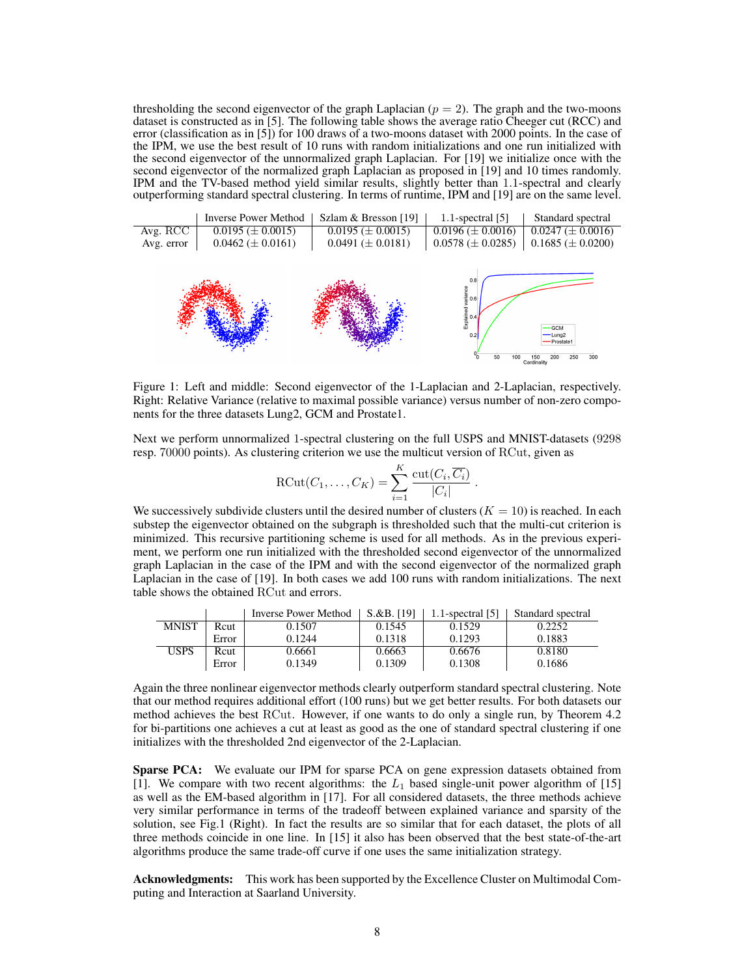thresholding the second eigenvector of the graph Laplacian  $(p = 2)$ . The graph and the two-moons dataset is constructed as in [5]. The following table shows the average ratio Cheeger cut (RCC) and error (classification as in [5]) for 100 draws of a two-moons dataset with 2000 points. In the case of the IPM, we use the best result of 10 runs with random initializations and one run initialized with the second eigenvector of the unnormalized graph Laplacian. For [19] we initialize once with the second eigenvector of the normalized graph Laplacian as proposed in [19] and 10 times randomly. IPM and the TV-based method yield similar results, slightly better than 1.1-spectral and clearly outperforming standard spectral clustering. In terms of runtime, IPM and [19] are on the same level.



Figure 1: Left and middle: Second eigenvector of the 1-Laplacian and 2-Laplacian, respectively. Right: Relative Variance (relative to maximal possible variance) versus number of non-zero components for the three datasets Lung2, GCM and Prostate1.

Next we perform unnormalized 1-spectral clustering on the full USPS and MNIST-datasets (9298 resp. 70000 points). As clustering criterion we use the multicut version of RCut, given as

$$
\text{RCut}(C_1,\ldots,C_K)=\sum_{i=1}^K\frac{\text{cut}(C_i,\overline{C_i})}{|C_i|}.
$$

We successively subdivide clusters until the desired number of clusters  $(K = 10)$  is reached. In each substep the eigenvector obtained on the subgraph is thresholded such that the multi-cut criterion is minimized. This recursive partitioning scheme is used for all methods. As in the previous experiment, we perform one run initialized with the thresholded second eigenvector of the unnormalized graph Laplacian in the case of the IPM and with the second eigenvector of the normalized graph Laplacian in the case of [19]. In both cases we add 100 runs with random initializations. The next table shows the obtained RCut and errors.

|              |       | <b>Inverse Power Method</b> | $S.\&B.$ [19] | 1.1-spectral $[5]$ | Standard spectral |
|--------------|-------|-----------------------------|---------------|--------------------|-------------------|
| <b>MNIST</b> | Rcut  | 0.1507                      | 0.1545        | 0.1529             | 0.2252            |
|              | Error | 0.1244                      | 0.1318        | 0.1293             | 0.1883            |
| USPS         | Rcut  | 0.6661                      | 0.6663        | 0.6676             | 0.8180            |
|              | Error | 0.1349                      | 0.1309        | 0.1308             | 0.1686            |

Again the three nonlinear eigenvector methods clearly outperform standard spectral clustering. Note that our method requires additional effort (100 runs) but we get better results. For both datasets our method achieves the best RCut. However, if one wants to do only a single run, by Theorem 4.2 for bi-partitions one achieves a cut at least as good as the one of standard spectral clustering if one initializes with the thresholded 2nd eigenvector of the 2-Laplacian.

Sparse PCA: We evaluate our IPM for sparse PCA on gene expression datasets obtained from [1]. We compare with two recent algorithms: the  $L_1$  based single-unit power algorithm of [15] as well as the EM-based algorithm in [17]. For all considered datasets, the three methods achieve very similar performance in terms of the tradeoff between explained variance and sparsity of the solution, see Fig.1 (Right). In fact the results are so similar that for each dataset, the plots of all three methods coincide in one line. In [15] it also has been observed that the best state-of-the-art algorithms produce the same trade-off curve if one uses the same initialization strategy.

Acknowledgments: This work has been supported by the Excellence Cluster on Multimodal Computing and Interaction at Saarland University.